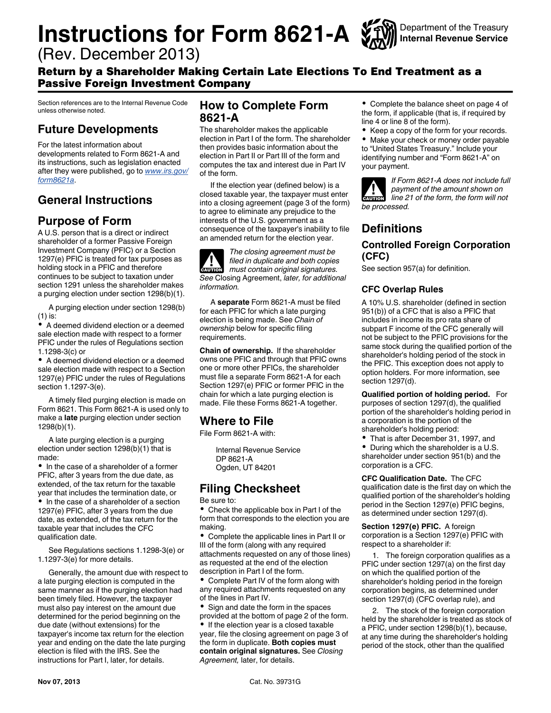# **Instructions for Form 8621-A**  $\frac{1}{20}$

Department of the Treasury **Internal Revenue Service**

(Rev. December 2013)

# Return by a Shareholder Making Certain Late Elections To End Treatment as a Passive Foreign Investment Company

Section references are to the Internal Revenue Code unless otherwise noted.

# **Future Developments**

For the latest information about developments related to Form 8621-A and its instructions, such as legislation enacted after they were published, go to *[www.irs.gov/](http://www.irs.gov/form8621a) [form8621a](http://www.irs.gov/form8621a)*.

# **General Instructions**

# **Purpose of Form**

A U.S. person that is a direct or indirect shareholder of a former Passive Foreign Investment Company (PFIC) or a Section 1297(e) PFIC is treated for tax purposes as holding stock in a PFIC and therefore continues to be subject to taxation under section 1291 unless the shareholder makes a purging election under section 1298(b)(1).

A purging election under section 1298(b) (1) is:

A deemed dividend election or a deemed sale election made with respect to a former PFIC under the rules of Regulations section 1.1298-3(c) or

A deemed dividend election or a deemed sale election made with respect to a Section 1297(e) PFIC under the rules of Regulations section 1.1297-3(e).

A timely filed purging election is made on Form 8621. This Form 8621-A is used only to make a **late** purging election under section 1298(b)(1).

A late purging election is a purging election under section 1298(b)(1) that is made:

• In the case of a shareholder of a former PFIC, after 3 years from the due date, as extended, of the tax return for the taxable year that includes the termination date, or • In the case of a shareholder of a section 1297(e) PFIC, after 3 years from the due date, as extended, of the tax return for the taxable year that includes the CFC

See Regulations sections 1.1298-3(e) or 1.1297-3(e) for more details.

Generally, the amount due with respect to a late purging election is computed in the same manner as if the purging election had been timely filed. However, the taxpayer must also pay interest on the amount due determined for the period beginning on the due date (without extensions) for the taxpayer's income tax return for the election year and ending on the date the late purging election is filed with the IRS. See the instructions for Part I, later, for details.

# **How to Complete Form 8621-A**

The shareholder makes the applicable election in Part I of the form. The shareholder then provides basic information about the election in Part II or Part III of the form and computes the tax and interest due in Part IV of the form.

If the election year (defined below) is a closed taxable year, the taxpayer must enter into a closing agreement (page 3 of the form) to agree to eliminate any prejudice to the interests of the U.S. government as a consequence of the taxpayer's inability to file an amended return for the election year.

*The closing agreement must be filed in duplicate and both copies must contain original signatures. See* Closing Agreement, *later, for additional information.* **A**<br>CAUTION

A **separate** Form 8621-A must be filed for each PFIC for which a late purging election is being made. See *Chain of ownership* below for specific filing requirements.

**Chain of ownership.** If the shareholder owns one PFIC and through that PFIC owns one or more other PFICs, the shareholder must file a separate Form 8621-A for each Section 1297(e) PFIC or former PFIC in the chain for which a late purging election is made. File these Forms 8621-A together.

# **Where to File**

File Form 8621-A with:

Internal Revenue Service DP 8621-A Ogden, UT 84201

# **Filing Checksheet**

Be sure to:

 $\bullet$ Check the applicable box in Part I of the form that corresponds to the election you are making.

Complete the applicable lines in Part II or III of the form (along with any required attachments requested on any of those lines) as requested at the end of the election description in Part I of the form.

Complete Part IV of the form along with any required attachments requested on any of the lines in Part IV.

Sign and date the form in the spaces provided at the bottom of page 2 of the form.

If the election year is a closed taxable year, file the closing agreement on page 3 of the form in duplicate. **Both copies must contain original signatures.** See *Closing Agreement,* later, for details.

Complete the balance sheet on page 4 of the form, if applicable (that is, if required by line 4 or line 8 of the form).

Keep a copy of the form for your records.

 $\bullet$ Make your check or money order payable to "United States Treasury." Include your identifying number and "Form 8621-A" on your payment.



*If Form 8621-A does not include full payment of the amount shown on line 21 of the form, the form will not be processed.*

# **Definitions**

# **Controlled Foreign Corporation (CFC)**

See section 957(a) for definition.

# **CFC Overlap Rules**

A 10% U.S. shareholder (defined in section 951(b)) of a CFC that is also a PFIC that includes in income its pro rata share of subpart F income of the CFC generally will not be subject to the PFIC provisions for the same stock during the qualified portion of the shareholder's holding period of the stock in the PFIC. This exception does not apply to option holders. For more information, see section 1297(d).

**Qualified portion of holding period.** For purposes of section 1297(d), the qualified portion of the shareholder's holding period in a corporation is the portion of the shareholder's holding period:

- That is after December 31, 1997, and
- $\bullet$ During which the shareholder is a U.S. shareholder under section 951(b) and the corporation is a CFC.

**CFC Qualification Date.** The CFC qualification date is the first day on which the qualified portion of the shareholder's holding period in the Section 1297(e) PFIC begins, as determined under section 1297(d).

**Section 1297(e) PFIC.** A foreign corporation is a Section 1297(e) PFIC with respect to a shareholder if:

1. The foreign corporation qualifies as a PFIC under section 1297(a) on the first day on which the qualified portion of the shareholder's holding period in the foreign corporation begins, as determined under section 1297(d) (CFC overlap rule), and

2. The stock of the foreign corporation held by the shareholder is treated as stock of a PFIC, under section 1298(b)(1), because, at any time during the shareholder's holding period of the stock, other than the qualified

qualification date.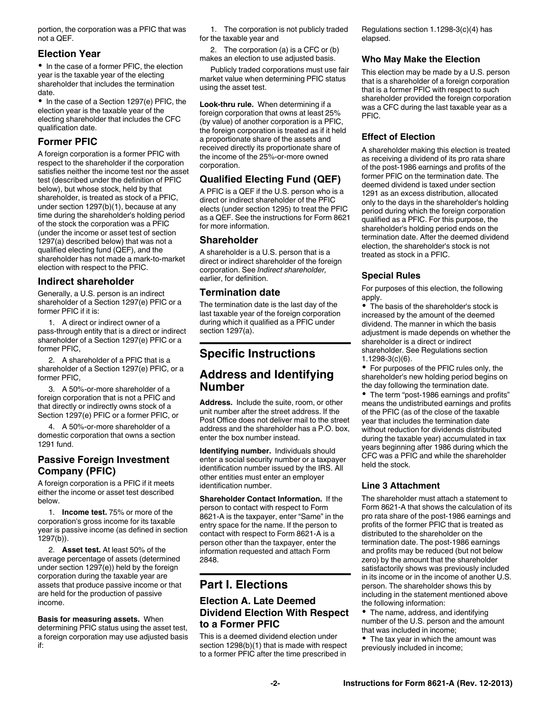portion, the corporation was a PFIC that was not a QEF.

# **Election Year**

• In the case of a former PFIC, the election year is the taxable year of the electing shareholder that includes the termination date.

• In the case of a Section 1297(e) PFIC, the election year is the taxable year of the electing shareholder that includes the CFC qualification date.

# **Former PFIC**

A foreign corporation is a former PFIC with respect to the shareholder if the corporation satisfies neither the income test nor the asset test (described under the definition of PFIC below), but whose stock, held by that shareholder, is treated as stock of a PFIC, under section 1297(b)(1), because at any time during the shareholder's holding period of the stock the corporation was a PFIC (under the income or asset test of section 1297(a) described below) that was not a qualified electing fund (QEF), and the shareholder has not made a mark-to-market election with respect to the PFIC.

#### **Indirect shareholder**

Generally, a U.S. person is an indirect shareholder of a Section 1297(e) PFIC or a former PFIC if it is:

1. A direct or indirect owner of a pass-through entity that is a direct or indirect shareholder of a Section 1297(e) PFIC or a former PFIC,

2. A shareholder of a PFIC that is a shareholder of a Section 1297(e) PFIC, or a former PFIC,

3. A 50%-or-more shareholder of a foreign corporation that is not a PFIC and that directly or indirectly owns stock of a Section 1297(e) PFIC or a former PFIC, or

4. A 50%-or-more shareholder of a domestic corporation that owns a section 1291 fund.

# **Passive Foreign Investment Company (PFIC)**

A foreign corporation is a PFIC if it meets either the income or asset test described below.

1. **Income test.** 75% or more of the corporation's gross income for its taxable year is passive income (as defined in section 1297(b)).

2. **Asset test.** At least 50% of the average percentage of assets (determined under section 1297(e)) held by the foreign corporation during the taxable year are assets that produce passive income or that are held for the production of passive income.

**Basis for measuring assets.** When determining PFIC status using the asset test, a foreign corporation may use adjusted basis if:

1. The corporation is not publicly traded for the taxable year and

2. The corporation (a) is a CFC or (b) makes an election to use adjusted basis.

Publicly traded corporations must use fair market value when determining PFIC status using the asset test.

**Look-thru rule.** When determining if a foreign corporation that owns at least 25% (by value) of another corporation is a PFIC, the foreign corporation is treated as if it held a proportionate share of the assets and received directly its proportionate share of the income of the 25%-or-more owned corporation.

# **Qualified Electing Fund (QEF)**

A PFIC is a QEF if the U.S. person who is a direct or indirect shareholder of the PFIC elects (under section 1295) to treat the PFIC as a QEF. See the instructions for Form 8621 for more information.

## **Shareholder**

A shareholder is a U.S. person that is a direct or indirect shareholder of the foreign corporation. See *Indirect shareholder,*  earlier, for definition.

## **Termination date**

The termination date is the last day of the last taxable year of the foreign corporation during which it qualified as a PFIC under section 1297(a).

# **Specific Instructions**

# **Address and Identifying Number**

**Address.** Include the suite, room, or other unit number after the street address. If the Post Office does not deliver mail to the street address and the shareholder has a P.O. box, enter the box number instead.

**Identifying number.** Individuals should enter a social security number or a taxpayer identification number issued by the IRS. All other entities must enter an employer identification number.

**Shareholder Contact Information.** If the person to contact with respect to Form 8621-A is the taxpayer, enter "Same" in the entry space for the name. If the person to contact with respect to Form 8621-A is a person other than the taxpayer, enter the information requested and attach Form 2848.

# **Part I. Elections**

# **Election A. Late Deemed Dividend Election With Respect to a Former PFIC**

This is a deemed dividend election under section 1298(b)(1) that is made with respect to a former PFIC after the time prescribed in

Regulations section 1.1298-3(c)(4) has elapsed.

#### **Who May Make the Election**

This election may be made by a U.S. person that is a shareholder of a foreign corporation that is a former PFIC with respect to such shareholder provided the foreign corporation was a CFC during the last taxable year as a PFIC.

# **Effect of Election**

A shareholder making this election is treated as receiving a dividend of its pro rata share of the post-1986 earnings and profits of the former PFIC on the termination date. The deemed dividend is taxed under section 1291 as an excess distribution, allocated only to the days in the shareholder's holding period during which the foreign corporation qualified as a PFIC. For this purpose, the shareholder's holding period ends on the termination date. After the deemed dividend election, the shareholder's stock is not treated as stock in a PFIC.

# **Special Rules**

For purposes of this election, the following apply.

The basis of the shareholder's stock is increased by the amount of the deemed dividend. The manner in which the basis adjustment is made depends on whether the shareholder is a direct or indirect shareholder. See Regulations section

1.1298-3(c)(6). • For purposes of the PFIC rules only, the

shareholder's new holding period begins on the day following the termination date.

The term "post-1986 earnings and profits" means the undistributed earnings and profits of the PFIC (as of the close of the taxable year that includes the termination date without reduction for dividends distributed during the taxable year) accumulated in tax years beginning after 1986 during which the CFC was a PFIC and while the shareholder held the stock.

## **Line 3 Attachment**

The shareholder must attach a statement to Form 8621-A that shows the calculation of its pro rata share of the post-1986 earnings and profits of the former PFIC that is treated as distributed to the shareholder on the termination date. The post-1986 earnings and profits may be reduced (but not below zero) by the amount that the shareholder satisfactorily shows was previously included in its income or in the income of another U.S. person. The shareholder shows this by including in the statement mentioned above the following information:

The name, address, and identifying number of the U.S. person and the amount that was included in income;

• The tax year in which the amount was previously included in income;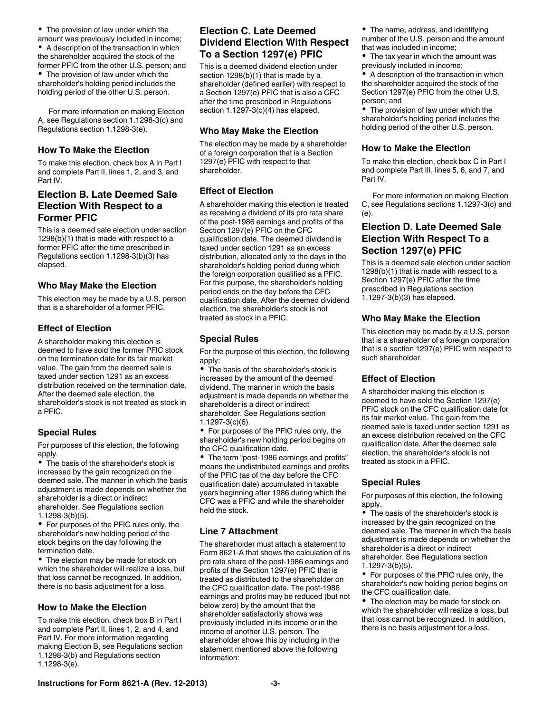For more information on making Election A, see Regulations section 1.1298-3(c) and Regulations section 1.1298-3(e).

#### **How To Make the Election**

To make this election, check box A in Part I and complete Part II, lines 1, 2, and 3, and Part IV.

# **Election B. Late Deemed Sale Election With Respect to a Former PFIC**

This is a deemed sale election under section 1298(b)(1) that is made with respect to a former PFIC after the time prescribed in Regulations section 1.1298-3(b)(3) has elapsed.

#### **Who May Make the Election**

This election may be made by a U.S. person that is a shareholder of a former PFIC.

#### **Effect of Election**

A shareholder making this election is deemed to have sold the former PFIC stock on the termination date for its fair market value. The gain from the deemed sale is taxed under section 1291 as an excess distribution received on the termination date. After the deemed sale election, the shareholder's stock is not treated as stock in a PFIC.

#### **Special Rules**

For purposes of this election, the following apply.

• The basis of the shareholder's stock is increased by the gain recognized on the deemed sale. The manner in which the basis adjustment is made depends on whether the shareholder is a direct or indirect shareholder. See Regulations section 1.1298-3(b)(5).

For purposes of the PFIC rules only, the shareholder's new holding period of the stock begins on the day following the termination date.

The election may be made for stock on which the shareholder will realize a loss, but that loss cannot be recognized. In addition, there is no basis adjustment for a loss.

#### **How to Make the Election**

To make this election, check box B in Part I and complete Part II, lines 1, 2, and 4, and Part IV. For more information regarding making Election B, see Regulations section 1.1298-3(b) and Regulations section 1.1298-3(e).

# **Election C. Late Deemed Dividend Election With Respect To a Section 1297(e) PFIC**

This is a deemed dividend election under section 1298(b)(1) that is made by a shareholder (defined earlier) with respect to a Section 1297(e) PFIC that is also a CFC after the time prescribed in Regulations section 1.1297-3(c)(4) has elapsed.

#### **Who May Make the Election**

The election may be made by a shareholder of a foreign corporation that is a Section 1297(e) PFIC with respect to that shareholder.

## **Effect of Election**

A shareholder making this election is treated as receiving a dividend of its pro rata share of the post-1986 earnings and profits of the Section 1297(e) PFIC on the CFC qualification date. The deemed dividend is taxed under section 1291 as an excess distribution, allocated only to the days in the shareholder's holding period during which the foreign corporation qualified as a PFIC. For this purpose, the shareholder's holding period ends on the day before the CFC qualification date. After the deemed dividend election, the shareholder's stock is not treated as stock in a PFIC.

#### **Special Rules**

For the purpose of this election, the following apply:

The basis of the shareholder's stock is increased by the amount of the deemed dividend. The manner in which the basis adjustment is made depends on whether the shareholder is a direct or indirect shareholder. See Regulations section 1.1297-3(c)(6).

For purposes of the PFIC rules only, the shareholder's new holding period begins on the CFC qualification date.

• The term "post-1986 earnings and profits" means the undistributed earnings and profits of the PFIC (as of the day before the CFC qualification date) accumulated in taxable years beginning after 1986 during which the CFC was a PFIC and while the shareholder held the stock.

#### **Line 7 Attachment**

The shareholder must attach a statement to Form 8621-A that shows the calculation of its pro rata share of the post-1986 earnings and profits of the Section 1297(e) PFIC that is treated as distributed to the shareholder on the CFC qualification date. The post-1986 earnings and profits may be reduced (but not below zero) by the amount that the shareholder satisfactorily shows was previously included in its income or in the income of another U.S. person. The shareholder shows this by including in the statement mentioned above the following information:

The name, address, and identifying number of the U.S. person and the amount that was included in income;

• The tax year in which the amount was previously included in income;

A description of the transaction in which the shareholder acquired the stock of the Section 1297(e) PFIC from the other U.S. person; and

The provision of law under which the shareholder's holding period includes the holding period of the other U.S. person.

#### **How to Make the Election**

To make this election, check box C in Part I and complete Part III, lines 5, 6, and 7, and Part IV.

For more information on making Election C, see Regulations sections 1.1297-3(c) and (e).

# **Election D. Late Deemed Sale Election With Respect To a Section 1297(e) PFIC**

This is a deemed sale election under section 1298(b)(1) that is made with respect to a Section 1297(e) PFIC after the time prescribed in Regulations section 1.1297-3(b)(3) has elapsed.

#### **Who May Make the Election**

This election may be made by a U.S. person that is a shareholder of a foreign corporation that is a section 1297(e) PFIC with respect to such shareholder.

## **Effect of Election**

A shareholder making this election is deemed to have sold the Section 1297(e) PFIC stock on the CFC qualification date for its fair market value. The gain from the deemed sale is taxed under section 1291 as an excess distribution received on the CFC qualification date. After the deemed sale election, the shareholder's stock is not treated as stock in a PFIC.

#### **Special Rules**

For purposes of this election, the following apply.

• The basis of the shareholder's stock is increased by the gain recognized on the deemed sale. The manner in which the basis adjustment is made depends on whether the shareholder is a direct or indirect

shareholder. See Regulations section 1.1297-3(b)(5).

For purposes of the PFIC rules only, the shareholder's new holding period begins on the CFC qualification date.

 $\bullet$ The election may be made for stock on which the shareholder will realize a loss, but that loss cannot be recognized. In addition, there is no basis adjustment for a loss.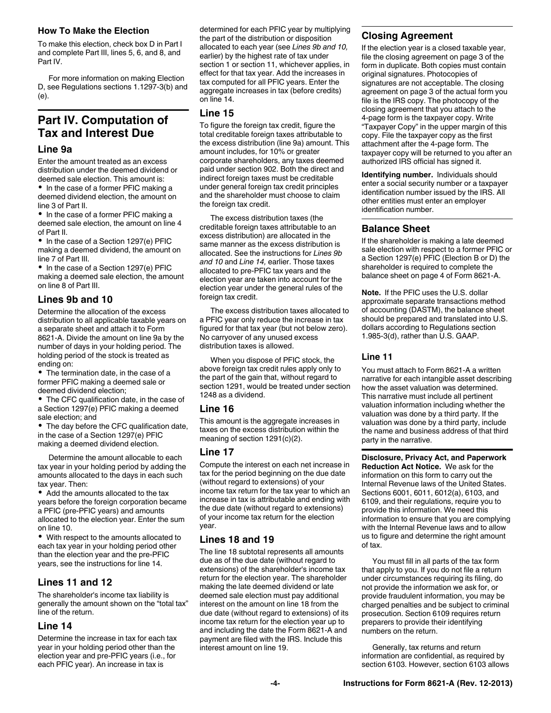#### **How To Make the Election**

To make this election, check box D in Part I and complete Part III, lines 5, 6, and 8, and Part IV.

For more information on making Election D, see Regulations sections 1.1297-3(b) and (e).

# **Part IV. Computation of Tax and Interest Due**

#### **Line 9a**

Enter the amount treated as an excess distribution under the deemed dividend or deemed sale election. This amount is:

• In the case of a former PFIC making a deemed dividend election, the amount on line 3 of Part II.

• In the case of a former PFIC making a deemed sale election, the amount on line 4 of Part II.

• In the case of a Section 1297(e) PFIC making a deemed dividend, the amount on line 7 of Part III.

• In the case of a Section 1297(e) PFIC making a deemed sale election, the amount on line 8 of Part III.

# **Lines 9b and 10**

Determine the allocation of the excess distribution to all applicable taxable years on a separate sheet and attach it to Form 8621-A. Divide the amount on line 9a by the number of days in your holding period. The holding period of the stock is treated as ending on:

• The termination date, in the case of a former PFIC making a deemed sale or deemed dividend election;

The CFC qualification date, in the case of a Section 1297(e) PFIC making a deemed sale election; and

The day before the CFC qualification date, in the case of a Section 1297(e) PFIC making a deemed dividend election.

Determine the amount allocable to each tax year in your holding period by adding the amounts allocated to the days in each such tax year. Then:

• Add the amounts allocated to the tax years before the foreign corporation became a PFIC (pre-PFIC years) and amounts allocated to the election year. Enter the sum on line 10.

With respect to the amounts allocated to each tax year in your holding period other than the election year and the pre-PFIC years, see the instructions for line 14.

## **Lines 11 and 12**

The shareholder's income tax liability is generally the amount shown on the "total tax" line of the return.

## **Line 14**

Determine the increase in tax for each tax year in your holding period other than the election year and pre-PFIC years (i.e., for each PFIC year). An increase in tax is

determined for each PFIC year by multiplying the part of the distribution or disposition allocated to each year (see *Lines 9b and 10,*  earlier) by the highest rate of tax under section 1 or section 11, whichever applies, in effect for that tax year. Add the increases in tax computed for all PFIC years. Enter the aggregate increases in tax (before credits) on line 14.

# **Line 15**

To figure the foreign tax credit, figure the total creditable foreign taxes attributable to the excess distribution (line 9a) amount. This amount includes, for 10% or greater corporate shareholders, any taxes deemed paid under section 902. Both the direct and indirect foreign taxes must be creditable under general foreign tax credit principles and the shareholder must choose to claim the foreign tax credit.

The excess distribution taxes (the creditable foreign taxes attributable to an excess distribution) are allocated in the same manner as the excess distribution is allocated. See the instructions for *Lines 9b and 10* and *Line 14,* earlier. Those taxes allocated to pre-PFIC tax years and the election year are taken into account for the election year under the general rules of the foreign tax credit.

The excess distribution taxes allocated to a PFIC year only reduce the increase in tax figured for that tax year (but not below zero). No carryover of any unused excess distribution taxes is allowed.

When you dispose of PFIC stock, the above foreign tax credit rules apply only to the part of the gain that, without regard to section 1291, would be treated under section 1248 as a dividend.

## **Line 16**

This amount is the aggregate increases in taxes on the excess distribution within the meaning of section 1291(c)(2).

## **Line 17**

Compute the interest on each net increase in tax for the period beginning on the due date (without regard to extensions) of your income tax return for the tax year to which an increase in tax is attributable and ending with the due date (without regard to extensions) of your income tax return for the election year.

## **Lines 18 and 19**

The line 18 subtotal represents all amounts due as of the due date (without regard to extensions) of the shareholder's income tax return for the election year. The shareholder making the late deemed dividend or late deemed sale election must pay additional interest on the amount on line 18 from the due date (without regard to extensions) of its income tax return for the election year up to and including the date the Form 8621-A and payment are filed with the IRS. Include this interest amount on line 19.

# **Closing Agreement**

If the election year is a closed taxable year, file the closing agreement on page 3 of the form in duplicate. Both copies must contain original signatures. Photocopies of signatures are not acceptable. The closing agreement on page 3 of the actual form you file is the IRS copy. The photocopy of the closing agreement that you attach to the 4-page form is the taxpayer copy. Write "Taxpayer Copy" in the upper margin of this copy. File the taxpayer copy as the first attachment after the 4-page form. The taxpayer copy will be returned to you after an authorized IRS official has signed it.

**Identifying number.** Individuals should enter a social security number or a taxpayer identification number issued by the IRS. All other entities must enter an employer identification number.

# **Balance Sheet**

If the shareholder is making a late deemed sale election with respect to a former PFIC or a Section 1297(e) PFIC (Election B or D) the shareholder is required to complete the balance sheet on page 4 of Form 8621-A.

**Note.** If the PFIC uses the U.S. dollar approximate separate transactions method of accounting (DASTM), the balance sheet should be prepared and translated into U.S. dollars according to Regulations section 1.985-3(d), rather than U.S. GAAP.

## **Line 11**

You must attach to Form 8621-A a written narrative for each intangible asset describing how the asset valuation was determined. This narrative must include all pertinent valuation information including whether the valuation was done by a third party. If the valuation was done by a third party, include the name and business address of that third party in the narrative.

**Disclosure, Privacy Act, and Paperwork Reduction Act Notice.** We ask for the information on this form to carry out the Internal Revenue laws of the United States. Sections 6001, 6011, 6012(a), 6103, and 6109, and their regulations, require you to provide this information. We need this information to ensure that you are complying with the Internal Revenue laws and to allow us to figure and determine the right amount of tax.

You must fill in all parts of the tax form that apply to you. If you do not file a return under circumstances requiring its filing, do not provide the information we ask for, or provide fraudulent information, you may be charged penalties and be subject to criminal prosecution. Section 6109 requires return preparers to provide their identifying numbers on the return.

Generally, tax returns and return information are confidential, as required by section 6103. However, section 6103 allows